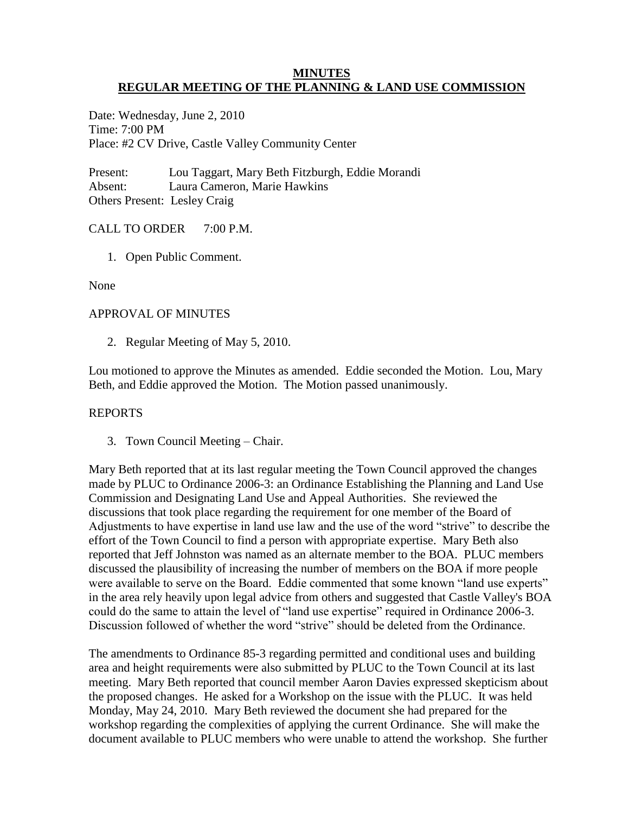#### **MINUTES REGULAR MEETING OF THE PLANNING & LAND USE COMMISSION**

Date: Wednesday, June 2, 2010 Time: 7:00 PM Place: #2 CV Drive, Castle Valley Community Center

Present: Lou Taggart, Mary Beth Fitzburgh, Eddie Morandi Absent: Laura Cameron, Marie Hawkins Others Present: Lesley Craig

# CALL TO ORDER 7:00 P.M.

1. Open Public Comment.

None

# APPROVAL OF MINUTES

2. Regular Meeting of May 5, 2010.

Lou motioned to approve the Minutes as amended. Eddie seconded the Motion. Lou, Mary Beth, and Eddie approved the Motion. The Motion passed unanimously.

## REPORTS

3. Town Council Meeting – Chair.

Mary Beth reported that at its last regular meeting the Town Council approved the changes made by PLUC to Ordinance 2006-3: an Ordinance Establishing the Planning and Land Use Commission and Designating Land Use and Appeal Authorities. She reviewed the discussions that took place regarding the requirement for one member of the Board of Adjustments to have expertise in land use law and the use of the word "strive" to describe the effort of the Town Council to find a person with appropriate expertise. Mary Beth also reported that Jeff Johnston was named as an alternate member to the BOA. PLUC members discussed the plausibility of increasing the number of members on the BOA if more people were available to serve on the Board. Eddie commented that some known "land use experts" in the area rely heavily upon legal advice from others and suggested that Castle Valley's BOA could do the same to attain the level of "land use expertise" required in Ordinance 2006-3. Discussion followed of whether the word "strive" should be deleted from the Ordinance.

The amendments to Ordinance 85-3 regarding permitted and conditional uses and building area and height requirements were also submitted by PLUC to the Town Council at its last meeting. Mary Beth reported that council member Aaron Davies expressed skepticism about the proposed changes. He asked for a Workshop on the issue with the PLUC. It was held Monday, May 24, 2010. Mary Beth reviewed the document she had prepared for the workshop regarding the complexities of applying the current Ordinance. She will make the document available to PLUC members who were unable to attend the workshop. She further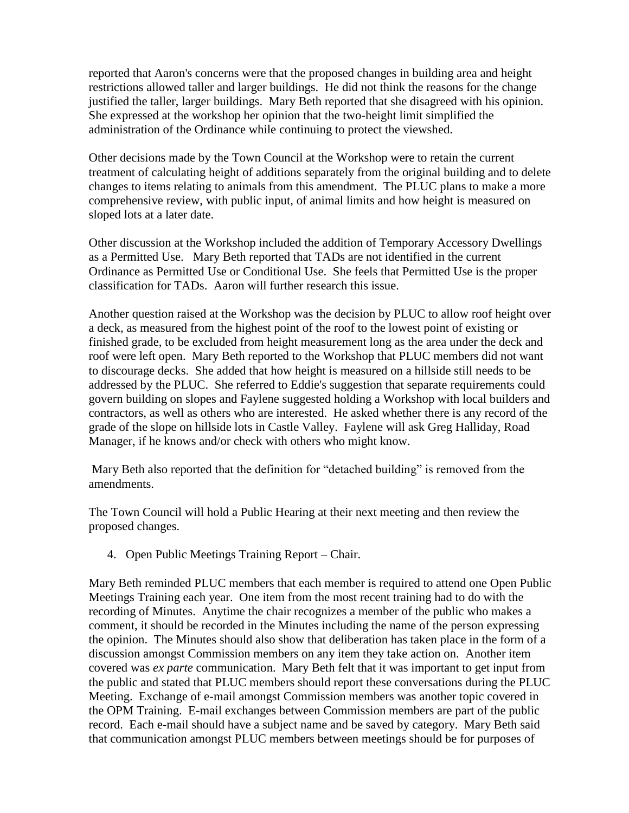reported that Aaron's concerns were that the proposed changes in building area and height restrictions allowed taller and larger buildings. He did not think the reasons for the change justified the taller, larger buildings. Mary Beth reported that she disagreed with his opinion. She expressed at the workshop her opinion that the two-height limit simplified the administration of the Ordinance while continuing to protect the viewshed.

Other decisions made by the Town Council at the Workshop were to retain the current treatment of calculating height of additions separately from the original building and to delete changes to items relating to animals from this amendment. The PLUC plans to make a more comprehensive review, with public input, of animal limits and how height is measured on sloped lots at a later date.

Other discussion at the Workshop included the addition of Temporary Accessory Dwellings as a Permitted Use. Mary Beth reported that TADs are not identified in the current Ordinance as Permitted Use or Conditional Use. She feels that Permitted Use is the proper classification for TADs. Aaron will further research this issue.

Another question raised at the Workshop was the decision by PLUC to allow roof height over a deck, as measured from the highest point of the roof to the lowest point of existing or finished grade, to be excluded from height measurement long as the area under the deck and roof were left open. Mary Beth reported to the Workshop that PLUC members did not want to discourage decks. She added that how height is measured on a hillside still needs to be addressed by the PLUC. She referred to Eddie's suggestion that separate requirements could govern building on slopes and Faylene suggested holding a Workshop with local builders and contractors, as well as others who are interested. He asked whether there is any record of the grade of the slope on hillside lots in Castle Valley. Faylene will ask Greg Halliday, Road Manager, if he knows and/or check with others who might know.

Mary Beth also reported that the definition for "detached building" is removed from the amendments.

The Town Council will hold a Public Hearing at their next meeting and then review the proposed changes.

4. Open Public Meetings Training Report – Chair.

Mary Beth reminded PLUC members that each member is required to attend one Open Public Meetings Training each year. One item from the most recent training had to do with the recording of Minutes. Anytime the chair recognizes a member of the public who makes a comment, it should be recorded in the Minutes including the name of the person expressing the opinion. The Minutes should also show that deliberation has taken place in the form of a discussion amongst Commission members on any item they take action on. Another item covered was *ex parte* communication. Mary Beth felt that it was important to get input from the public and stated that PLUC members should report these conversations during the PLUC Meeting. Exchange of e-mail amongst Commission members was another topic covered in the OPM Training. E-mail exchanges between Commission members are part of the public record. Each e-mail should have a subject name and be saved by category. Mary Beth said that communication amongst PLUC members between meetings should be for purposes of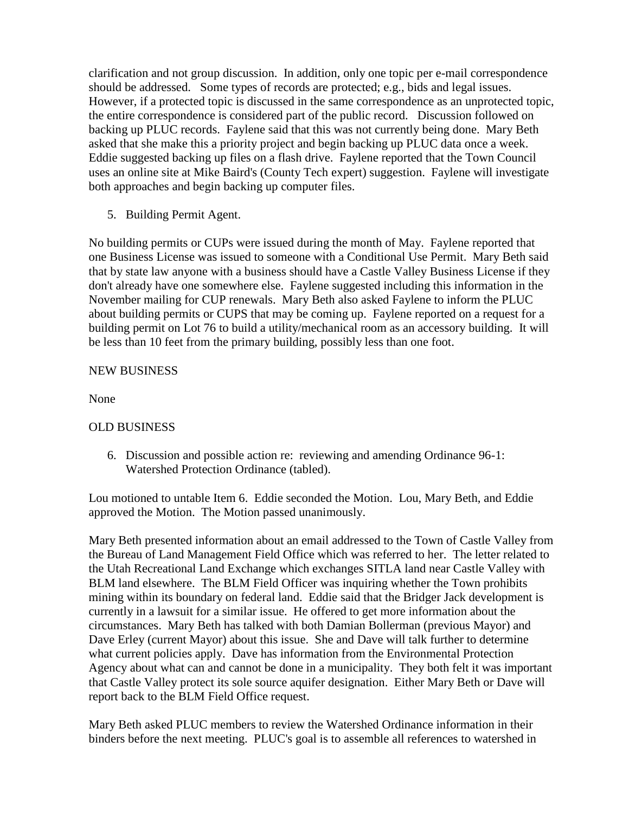clarification and not group discussion. In addition, only one topic per e-mail correspondence should be addressed. Some types of records are protected; e.g., bids and legal issues. However, if a protected topic is discussed in the same correspondence as an unprotected topic, the entire correspondence is considered part of the public record. Discussion followed on backing up PLUC records. Faylene said that this was not currently being done. Mary Beth asked that she make this a priority project and begin backing up PLUC data once a week. Eddie suggested backing up files on a flash drive. Faylene reported that the Town Council uses an online site at Mike Baird's (County Tech expert) suggestion. Faylene will investigate both approaches and begin backing up computer files.

5. Building Permit Agent.

No building permits or CUPs were issued during the month of May. Faylene reported that one Business License was issued to someone with a Conditional Use Permit. Mary Beth said that by state law anyone with a business should have a Castle Valley Business License if they don't already have one somewhere else. Faylene suggested including this information in the November mailing for CUP renewals. Mary Beth also asked Faylene to inform the PLUC about building permits or CUPS that may be coming up. Faylene reported on a request for a building permit on Lot 76 to build a utility/mechanical room as an accessory building. It will be less than 10 feet from the primary building, possibly less than one foot.

## NEW BUSINESS

None

## OLD BUSINESS

6. Discussion and possible action re: reviewing and amending Ordinance 96-1: Watershed Protection Ordinance (tabled).

Lou motioned to untable Item 6. Eddie seconded the Motion. Lou, Mary Beth, and Eddie approved the Motion. The Motion passed unanimously.

Mary Beth presented information about an email addressed to the Town of Castle Valley from the Bureau of Land Management Field Office which was referred to her. The letter related to the Utah Recreational Land Exchange which exchanges SITLA land near Castle Valley with BLM land elsewhere. The BLM Field Officer was inquiring whether the Town prohibits mining within its boundary on federal land. Eddie said that the Bridger Jack development is currently in a lawsuit for a similar issue. He offered to get more information about the circumstances. Mary Beth has talked with both Damian Bollerman (previous Mayor) and Dave Erley (current Mayor) about this issue. She and Dave will talk further to determine what current policies apply. Dave has information from the Environmental Protection Agency about what can and cannot be done in a municipality. They both felt it was important that Castle Valley protect its sole source aquifer designation. Either Mary Beth or Dave will report back to the BLM Field Office request.

Mary Beth asked PLUC members to review the Watershed Ordinance information in their binders before the next meeting. PLUC's goal is to assemble all references to watershed in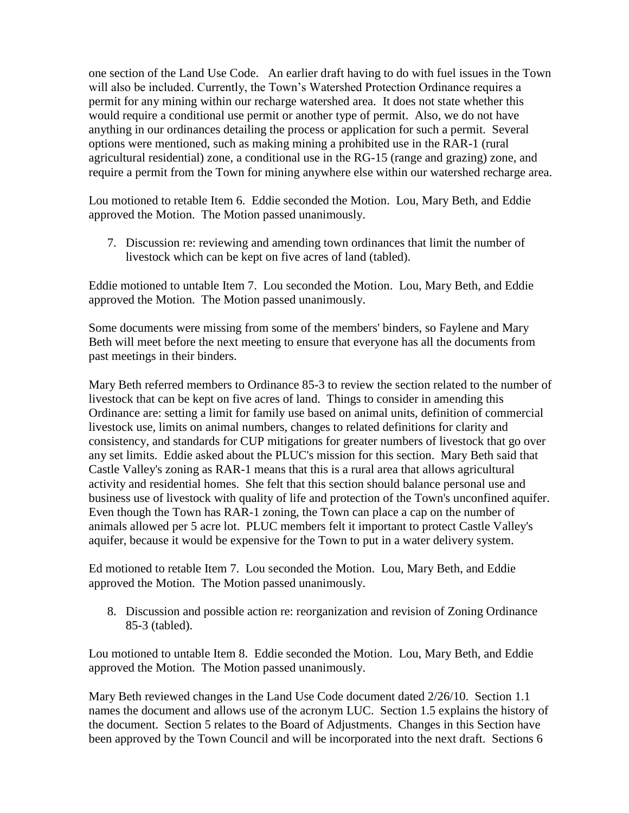one section of the Land Use Code. An earlier draft having to do with fuel issues in the Town will also be included. Currently, the Town's Watershed Protection Ordinance requires a permit for any mining within our recharge watershed area. It does not state whether this would require a conditional use permit or another type of permit. Also, we do not have anything in our ordinances detailing the process or application for such a permit. Several options were mentioned, such as making mining a prohibited use in the RAR-1 (rural agricultural residential) zone, a conditional use in the RG-15 (range and grazing) zone, and require a permit from the Town for mining anywhere else within our watershed recharge area.

Lou motioned to retable Item 6. Eddie seconded the Motion. Lou, Mary Beth, and Eddie approved the Motion. The Motion passed unanimously.

7. Discussion re: reviewing and amending town ordinances that limit the number of livestock which can be kept on five acres of land (tabled).

Eddie motioned to untable Item 7. Lou seconded the Motion. Lou, Mary Beth, and Eddie approved the Motion. The Motion passed unanimously.

Some documents were missing from some of the members' binders, so Faylene and Mary Beth will meet before the next meeting to ensure that everyone has all the documents from past meetings in their binders.

Mary Beth referred members to Ordinance 85-3 to review the section related to the number of livestock that can be kept on five acres of land. Things to consider in amending this Ordinance are: setting a limit for family use based on animal units, definition of commercial livestock use, limits on animal numbers, changes to related definitions for clarity and consistency, and standards for CUP mitigations for greater numbers of livestock that go over any set limits. Eddie asked about the PLUC's mission for this section. Mary Beth said that Castle Valley's zoning as RAR-1 means that this is a rural area that allows agricultural activity and residential homes. She felt that this section should balance personal use and business use of livestock with quality of life and protection of the Town's unconfined aquifer. Even though the Town has RAR-1 zoning, the Town can place a cap on the number of animals allowed per 5 acre lot. PLUC members felt it important to protect Castle Valley's aquifer, because it would be expensive for the Town to put in a water delivery system.

Ed motioned to retable Item 7. Lou seconded the Motion. Lou, Mary Beth, and Eddie approved the Motion. The Motion passed unanimously.

8. Discussion and possible action re: reorganization and revision of Zoning Ordinance 85-3 (tabled).

Lou motioned to untable Item 8. Eddie seconded the Motion. Lou, Mary Beth, and Eddie approved the Motion. The Motion passed unanimously.

Mary Beth reviewed changes in the Land Use Code document dated 2/26/10. Section 1.1 names the document and allows use of the acronym LUC. Section 1.5 explains the history of the document. Section 5 relates to the Board of Adjustments. Changes in this Section have been approved by the Town Council and will be incorporated into the next draft. Sections 6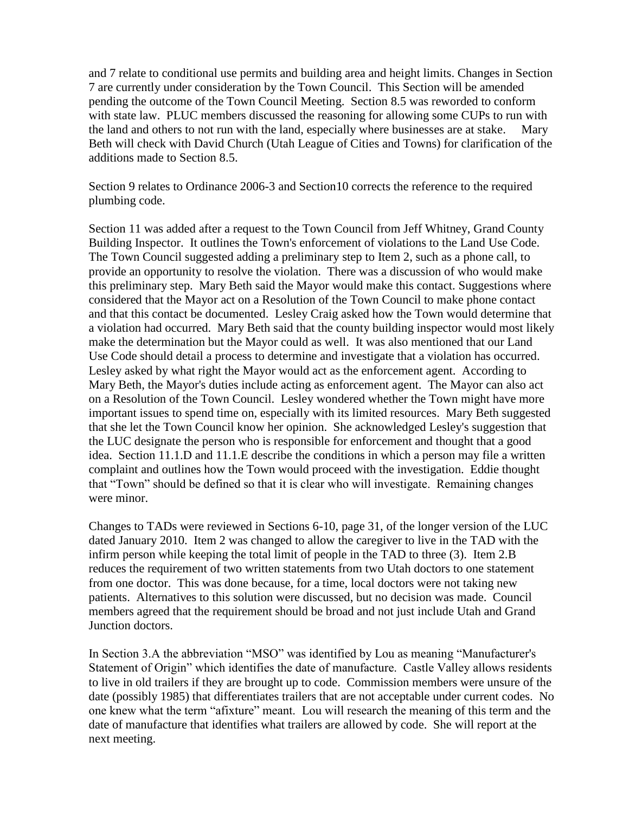and 7 relate to conditional use permits and building area and height limits. Changes in Section 7 are currently under consideration by the Town Council. This Section will be amended pending the outcome of the Town Council Meeting. Section 8.5 was reworded to conform with state law. PLUC members discussed the reasoning for allowing some CUPs to run with the land and others to not run with the land, especially where businesses are at stake. Mary Beth will check with David Church (Utah League of Cities and Towns) for clarification of the additions made to Section 8.5.

Section 9 relates to Ordinance 2006-3 and Section10 corrects the reference to the required plumbing code.

Section 11 was added after a request to the Town Council from Jeff Whitney, Grand County Building Inspector. It outlines the Town's enforcement of violations to the Land Use Code. The Town Council suggested adding a preliminary step to Item 2, such as a phone call, to provide an opportunity to resolve the violation. There was a discussion of who would make this preliminary step. Mary Beth said the Mayor would make this contact. Suggestions where considered that the Mayor act on a Resolution of the Town Council to make phone contact and that this contact be documented. Lesley Craig asked how the Town would determine that a violation had occurred. Mary Beth said that the county building inspector would most likely make the determination but the Mayor could as well. It was also mentioned that our Land Use Code should detail a process to determine and investigate that a violation has occurred. Lesley asked by what right the Mayor would act as the enforcement agent. According to Mary Beth, the Mayor's duties include acting as enforcement agent. The Mayor can also act on a Resolution of the Town Council. Lesley wondered whether the Town might have more important issues to spend time on, especially with its limited resources. Mary Beth suggested that she let the Town Council know her opinion. She acknowledged Lesley's suggestion that the LUC designate the person who is responsible for enforcement and thought that a good idea. Section 11.1.D and 11.1.E describe the conditions in which a person may file a written complaint and outlines how the Town would proceed with the investigation. Eddie thought that "Town" should be defined so that it is clear who will investigate. Remaining changes were minor.

Changes to TADs were reviewed in Sections 6-10, page 31, of the longer version of the LUC dated January 2010. Item 2 was changed to allow the caregiver to live in the TAD with the infirm person while keeping the total limit of people in the TAD to three (3). Item 2.B reduces the requirement of two written statements from two Utah doctors to one statement from one doctor. This was done because, for a time, local doctors were not taking new patients. Alternatives to this solution were discussed, but no decision was made. Council members agreed that the requirement should be broad and not just include Utah and Grand Junction doctors.

In Section 3.A the abbreviation "MSO" was identified by Lou as meaning "Manufacturer's Statement of Origin" which identifies the date of manufacture. Castle Valley allows residents to live in old trailers if they are brought up to code. Commission members were unsure of the date (possibly 1985) that differentiates trailers that are not acceptable under current codes. No one knew what the term "afixture" meant. Lou will research the meaning of this term and the date of manufacture that identifies what trailers are allowed by code. She will report at the next meeting.